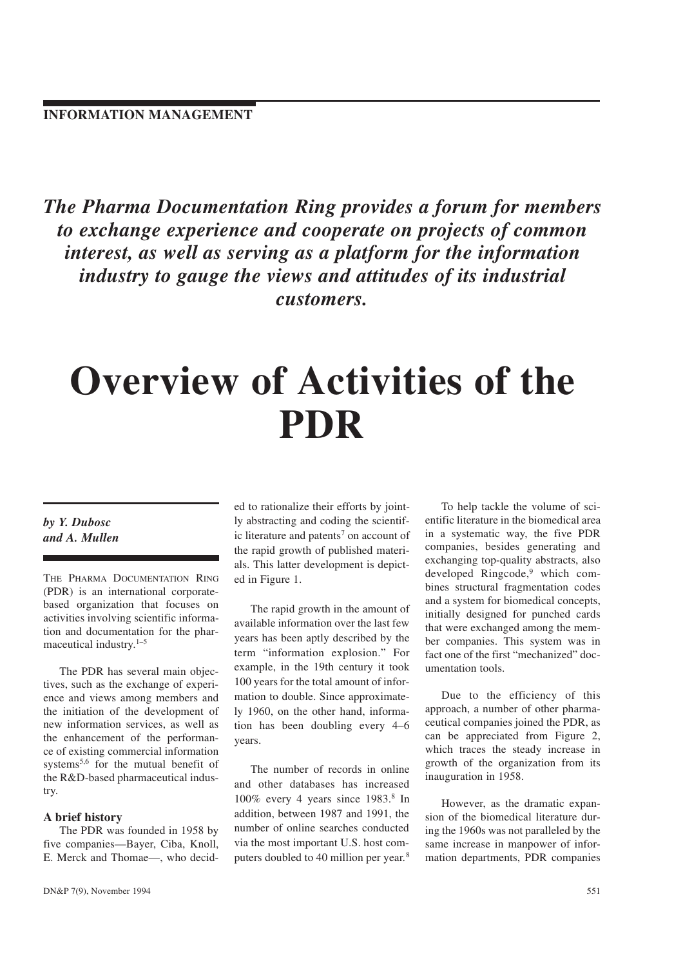The Pharma Documentation Ring provides a forum for members to exchange experience and cooperate on projects of common interest, as well as serving as a platform for the information industry to gauge the views and attitudes of its industrial customers.

# Overview of Activities of the PDR

# by Y. Dubosc and A. Mullen

THE PHARMA DOCUMENTATION RING (PDR) is an international corporatebased organization that focuses on activities involving scientific information and documentation for the pharmaceutical industry.<sup>1-5</sup>

The PDR has several main objectives, such as the exchange of experience and views among members and the initiation of the development of new information services, as well as the enhancement of the performance of existing commercial information systems<sup>5,6</sup> for the mutual benefit of the R&D-based pharmaceutical industry.

#### A brief history

The PDR was founded in 1958 by five companies-Bayer, Ciba, Knoll, E. Merck and Thomae-, who decided to rationalize their efforts by jointly abstracting and coding the scientific literature and patents<sup>7</sup> on account of the rapid growth of published materials. This latter development is depicted in Figure 1.

The rapid growth in the amount of available information over the last few years has been aptly described by the term "information explosion." For example, in the 19th century it took 100 years for the total amount of information to double. Since approximately 1960, on the other hand, information has been doubling every  $4-6$ years.

The number of records in online and other databases has increased  $100\%$  every 4 years since  $1983$ .<sup>8</sup> In addition, between 1987 and 1991, the number of online searches conducted via the most important U.S. host computers doubled to 40 million per year.<sup>8</sup>

To help tackle the volume of scientific literature in the biomedical area in a systematic way, the five PDR companies, besides generating and exchanging top-quality abstracts, also developed Ringcode,<sup>9</sup> which combines structural fragmentation codes and a system for biomedical concepts, initially designed for punched cards that were exchanged among the member companies. This system was in fact one of the first "mechanized" documentation tools.

Due to the efficiency of this approach, a number of other pharmaceutical companies joined the PDR, as can be appreciated from Figure 2, which traces the steady increase in growth of the organization from its inauguration in 1958.

However, as the dramatic expansion of the biomedical literature during the 1960s was not paralleled by the same increase in manpower of information departments, PDR companies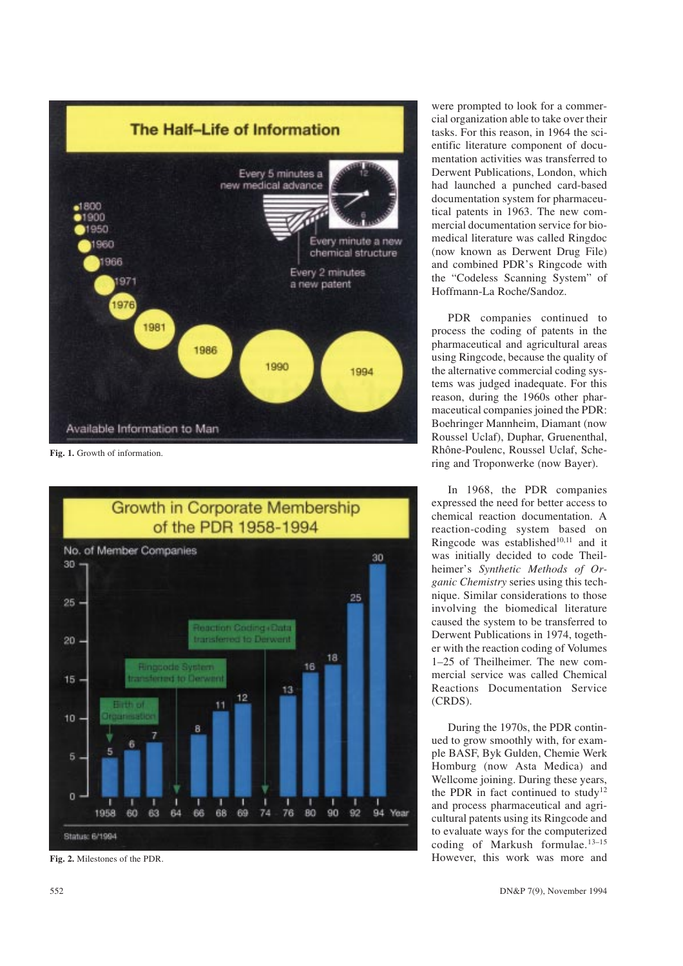

Fig. 1. Growth of information.



Fig. 2. Milestones of the PDR.

were prompted to look for a commercial organization able to take over their tasks. For this reason, in 1964 the scientific literature component of documentation activities was transferred to Derwent Publications, London, which had launched a punched card-based documentation system for pharmaceutical patents in 1963. The new commercial documentation service for biomedical literature was called Ringdoc (now known as Derwent Drug File) and combined PDR's Ringcode with the "Codeless Scanning System" of Hoffmann-La Roche/Sandoz.

PDR companies continued to process the coding of patents in the pharmaceutical and agricultural areas using Ringcode, because the quality of the alternative commercial coding systems was judged inadequate. For this reason, during the 1960s other pharmaceutical companies joined the PDR: Boehringer Mannheim, Diamant (now Roussel Uclaf), Duphar, Gruenenthal, Rhône-Poulenc, Roussel Uclaf, Schering and Troponwerke (now Bayer).

In 1968, the PDR companies expressed the need for better access to chemical reaction documentation. A reaction-coding system based on Ringcode was established<sup>10,11</sup> and it was initially decided to code Theilheimer's Synthetic Methods of Organic Chemistry series using this technique. Similar considerations to those involving the biomedical literature caused the system to be transferred to Derwent Publications in 1974, together with the reaction coding of Volumes 125 of Theilheimer. The new commercial service was called Chemical Reactions Documentation Service (CRDS).

During the 1970s, the PDR continued to grow smoothly with, for example BASF, Byk Gulden, Chemie Werk Homburg (now Asta Medica) and Wellcome joining. During these years, the PDR in fact continued to study<sup>12</sup> and process pharmaceutical and agricultural patents using its Ringcode and to evaluate ways for the computerized coding of Markush formulae. $13-15$ However, this work was more and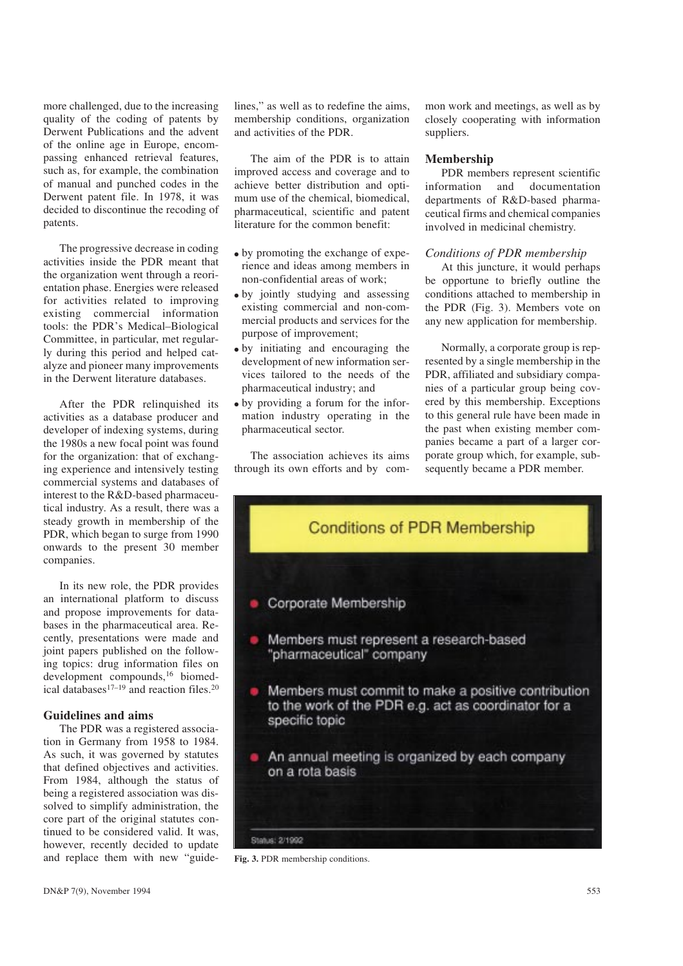more challenged, due to the increasing quality of the coding of patents by Derwent Publications and the advent of the online age in Europe, encompassing enhanced retrieval features, such as, for example, the combination of manual and punched codes in the Derwent patent file. In 1978, it was decided to discontinue the recoding of patents.

The progressive decrease in coding activities inside the PDR meant that the organization went through a reorientation phase. Energies were released for activities related to improving existing commercial information tools: the PDR's Medical-Biological Committee, in particular, met regularly during this period and helped catalyze and pioneer many improvements in the Derwent literature databases.

After the PDR relinquished its activities as a database producer and developer of indexing systems, during the 1980s a new focal point was found for the organization: that of exchanging experience and intensively testing commercial systems and databases of interest to the R&D-based pharmaceutical industry. As a result, there was a steady growth in membership of the PDR, which began to surge from 1990 onwards to the present 30 member companies.

In its new role, the PDR provides an international platform to discuss and propose improvements for databases in the pharmaceutical area. Recently, presentations were made and joint papers published on the following topics: drug information files on development compounds,16 biomedical databases<sup>17–19</sup> and reaction files.<sup>20</sup>

## Guidelines and aims

The PDR was a registered association in Germany from 1958 to 1984. As such, it was governed by statutes that defined objectives and activities. From 1984, although the status of being a registered association was dissolved to simplify administration, the core part of the original statutes continued to be considered valid. It was, however, recently decided to update and replace them with new "guidelines," as well as to redefine the aims, membership conditions, organization and activities of the PDR.

The aim of the PDR is to attain improved access and coverage and to achieve better distribution and optimum use of the chemical, biomedical, pharmaceutical, scientific and patent literature for the common benefit:

- by promoting the exchange of experience and ideas among members in non-confidential areas of work;
- by jointly studying and assessing existing commercial and non-commercial products and services for the purpose of improvement;
- by initiating and encouraging the development of new information services tailored to the needs of the pharmaceutical industry; and
- $\bullet$  by providing a forum for the information industry operating in the pharmaceutical sector.

The association achieves its aims through its own efforts and by common work and meetings, as well as by closely cooperating with information suppliers.

#### Membership

PDR members represent scientific information and documentation departments of R&D-based pharmaceutical firms and chemical companies involved in medicinal chemistry.

#### Conditions of PDR membership

At this juncture, it would perhaps be opportune to briefly outline the conditions attached to membership in the PDR (Fig. 3). Members vote on any new application for membership.

Normally, a corporate group is represented by a single membership in the PDR, affiliated and subsidiary companies of a particular group being covered by this membership. Exceptions to this general rule have been made in the past when existing member companies became a part of a larger corporate group which, for example, subsequently became a PDR member.



Fig. 3. PDR membership conditions.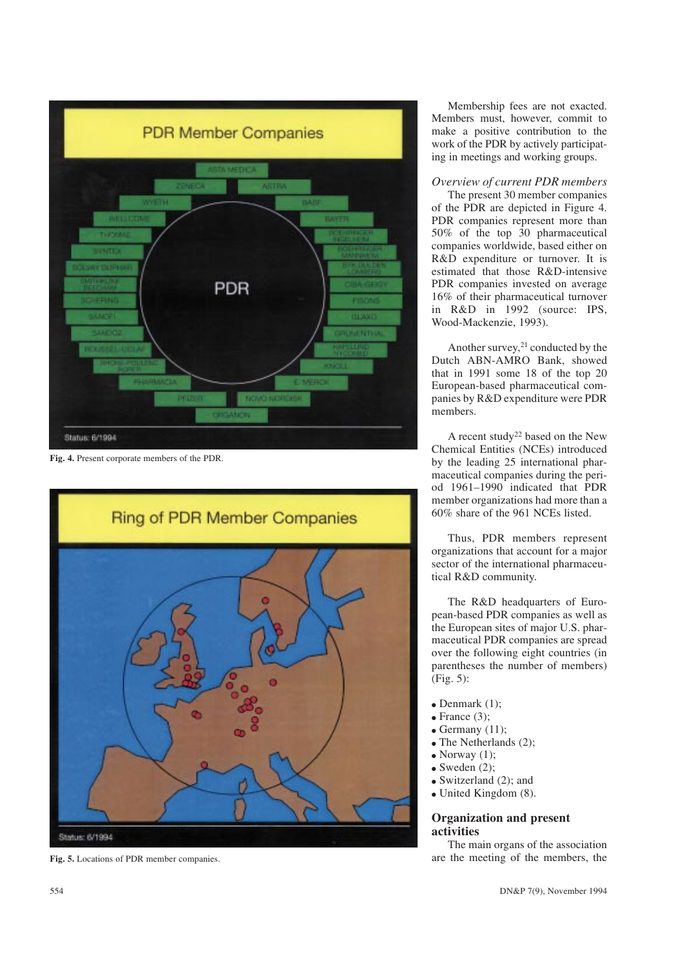

Fig. 4. Present corporate members of the PDR.



Fig. 5. Locations of PDR member companies.

Membership fees are not exacted. Members must, however, commit to make a positive contribution to the work of the PDR by actively participating in meetings and working groups.

# Overview of current PDR members

The present 30 member companies of the PDR are depicted in Figure 4. PDR companies represent more than 50% of the top 30 pharmaceutical companies worldwide, based either on R&D expenditure or turnover. It is estimated that those R&D-intensive PDR companies invested on average 16% of their pharmaceutical turnover in R&D in 1992 (source: IPS, Wood-Mackenzie, 1993).

Another survey, $21$  conducted by the Dutch ABN-AMRO Bank, showed that in 1991 some 18 of the top 20 European-based pharmaceutical companies by R&D expenditure were PDR members.

A recent study<sup>22</sup> based on the New Chemical Entities (NCEs) introduced by the leading 25 international pharmaceutical companies during the period 1961-1990 indicated that PDR member organizations had more than a 60% share of the 961 NCEs listed.

Thus, PDR members represent organizations that account for a major sector of the international pharmaceutical R&D community.

The R&D headquarters of European-based PDR companies as well as the European sites of major U.S. pharmaceutical PDR companies are spread over the following eight countries (in parentheses the number of members) (Fig. 5):

- Denmark  $(1)$ ;
- $\bullet$  France (3);
- $\bullet$  Germany (11);
- $\bullet$  The Netherlands (2);
- $\bullet$  Norway (1);
- $\bullet$  Sweden (2);
- $\bullet$  Switzerland (2); and
- $\bullet$  United Kingdom (8).

## Organization and present activities

The main organs of the association are the meeting of the members, the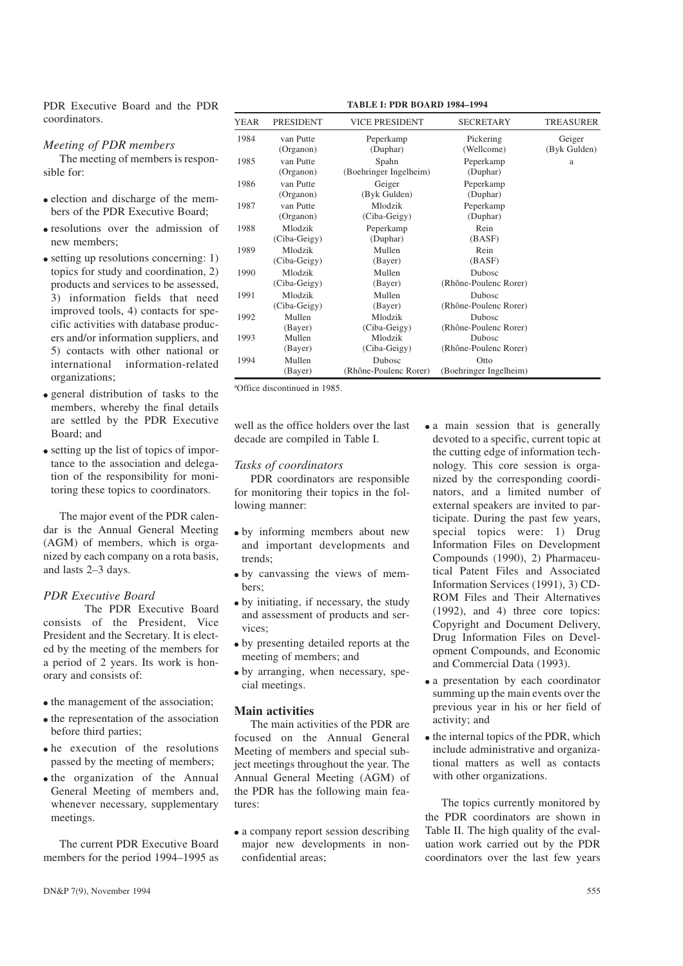PDR Executive Board and the PDR coordinators.

#### Meeting of PDR members

The meeting of members is responsible for:

- election and discharge of the members of the PDR Executive Board;
- resolutions over the admission of new members;
- $\bullet$  setting up resolutions concerning: 1) topics for study and coordination, 2) products and services to be assessed, 3) information fields that need improved tools, 4) contacts for specific activities with database producers and/or information suppliers, and 5) contacts with other national or international information-related organizations;
- general distribution of tasks to the members, whereby the final details are settled by the PDR Executive Board; and
- $\bullet$  setting up the list of topics of importance to the association and delegation of the responsibility for monitoring these topics to coordinators.

The major event of the PDR calendar is the Annual General Meeting (AGM) of members, which is organized by each company on a rota basis, and lasts 2-3 days.

#### PDR Executive Board

The PDR Executive Board consists of the President, Vice President and the Secretary. It is elected by the meeting of the members for a period of 2 years. Its work is honorary and consists of:

- $\bullet$  the management of the association:
- $\bullet$  the representation of the association before third parties;
- $\bullet$  he execution of the resolutions passed by the meeting of members;
- $\bullet$  the organization of the Annual General Meeting of members and, whenever necessary, supplementary meetings.

The current PDR Executive Board members for the period 1994–1995 as

| YEAR | <b>PRESIDENT</b>       | <b>VICE PRESIDENT</b>  | <b>SECRETARY</b>        | TREASURER              |
|------|------------------------|------------------------|-------------------------|------------------------|
| 1984 | van Putte<br>(Organon) | Peperkamp<br>(Duphar)  | Pickering<br>(Wellcome) | Geiger<br>(Byk Gulden) |
| 1985 | van Putte              | Spahn                  | Peperkamp               |                        |
|      | (Organon)              | (Boehringer Ingelheim) | (Duphar)                | a                      |
| 1986 | van Putte              | Geiger                 | Peperkamp               |                        |
|      | (Organon)              | (Byk Gulden)           | (Duphar)                |                        |
| 1987 | van Putte              | Mlodzik                | Peperkamp               |                        |
|      | (Organon)              | (Ciba-Geigy)           | (Duphar)                |                        |
| 1988 | Mlodzik                | Peperkamp              | Rein                    |                        |
|      | (Ciba-Geigy)           | (Duphar)               | (BASP)                  |                        |
| 1989 | Mlodzik                | Mullen                 | Rein                    |                        |
|      | (Ciba-Geigy)           | (Bayer)                | (BASF)                  |                        |
| 1990 | Mlodzik                | Mullen                 | <b>Dubosc</b>           |                        |
|      | (Ciba-Geigy)           | (Bayer)                | (Rhône-Poulenc Rorer)   |                        |
| 1991 | Mlodzik                | Mullen                 | Dubosc                  |                        |
|      | (Ciba-Geigy)           | (Bayer)                | (Rhône-Poulenc Rorer)   |                        |
| 1992 | Mullen                 | Mlodzik                | <b>Dubosc</b>           |                        |
|      | (Bayer)                | (Ciba-Geigy)           | (Rhône-Poulenc Rorer)   |                        |
| 1993 | Mullen                 | Mlodzik                | <b>Dubosc</b>           |                        |
|      | (Bayer)                | (Ciba-Geigy)           | (Rhône-Poulenc Rorer)   |                        |
| 1994 | Mullen                 | <b>Dubosc</b>          | Otto                    |                        |
|      | (Bayer)                | (Rhône-Poulenc Rorer)  | (Boehringer Ingelheim)  |                        |

a Office discontinued in 1985.

well as the office holders over the last decade are compiled in Table I.

#### Tasks of coordinators

PDR coordinators are responsible for monitoring their topics in the following manner:

- by informing members about new and important developments and trends;
- by canvassing the views of members;
- $\bullet$  by initiating, if necessary, the study and assessment of products and services;
- by presenting detailed reports at the meeting of members; and
- by arranging, when necessary, special meetings.

## Main activities

The main activities of the PDR are focused on the Annual General Meeting of members and special subject meetings throughout the year. The Annual General Meeting (AGM) of the PDR has the following main features:

• a company report session describing major new developments in nonconfidential areas;

- a main session that is generally devoted to a specific, current topic at the cutting edge of information technology. This core session is organized by the corresponding coordinators, and a limited number of external speakers are invited to participate. During the past few years, special topics were: 1) Drug Information Files on Development Compounds (1990), 2) Pharmaceutical Patent Files and Associated Information Services (1991), 3) CD-ROM Files and Their Alternatives (1992), and 4) three core topics: Copyright and Document Delivery, Drug Information Files on Development Compounds, and Economic and Commercial Data (1993).
- a presentation by each coordinator summing up the main events over the previous year in his or her field of activity; and
- $\bullet$  the internal topics of the PDR, which include administrative and organizational matters as well as contacts with other organizations.

The topics currently monitored by the PDR coordinators are shown in Table II. The high quality of the evaluation work carried out by the PDR coordinators over the last few years

TABLE I: PDR BOARD 1984-1994